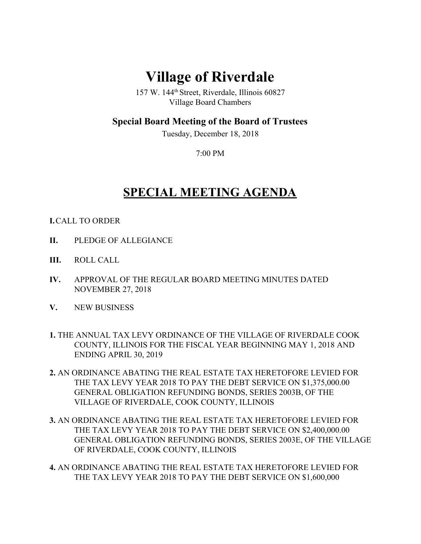## **Village of Riverdale**

157 W. 144th Street, Riverdale, Illinois 60827 Village Board Chambers

## **Special Board Meeting of the Board of Trustees**

Tuesday, December 18, 2018

7:00 PM

## **SPECIAL MEETING AGENDA**

## **I.**CALL TO ORDER

- **II.** PLEDGE OF ALLEGIANCE
- **III.** ROLL CALL
- **IV.** APPROVAL OF THE REGULAR BOARD MEETING MINUTES DATED NOVEMBER 27, 2018
- **V.** NEW BUSINESS
- **1.** THE ANNUAL TAX LEVY ORDINANCE OF THE VILLAGE OF RIVERDALE COOK COUNTY, ILLINOIS FOR THE FISCAL YEAR BEGINNING MAY 1, 2018 AND ENDING APRIL 30, 2019
- **2.** AN ORDINANCE ABATING THE REAL ESTATE TAX HERETOFORE LEVIED FOR THE TAX LEVY YEAR 2018 TO PAY THE DEBT SERVICE ON \$1,375,000.00 GENERAL OBLIGATION REFUNDING BONDS, SERIES 2003B, OF THE VILLAGE OF RIVERDALE, COOK COUNTY, ILLINOIS
- **3.** AN ORDINANCE ABATING THE REAL ESTATE TAX HERETOFORE LEVIED FOR THE TAX LEVY YEAR 2018 TO PAY THE DEBT SERVICE ON \$2,400,000.00 GENERAL OBLIGATION REFUNDING BONDS, SERIES 2003E, OF THE VILLAGE OF RIVERDALE, COOK COUNTY, ILLINOIS
- **4.** AN ORDINANCE ABATING THE REAL ESTATE TAX HERETOFORE LEVIED FOR THE TAX LEVY YEAR 2018 TO PAY THE DEBT SERVICE ON \$1,600,000